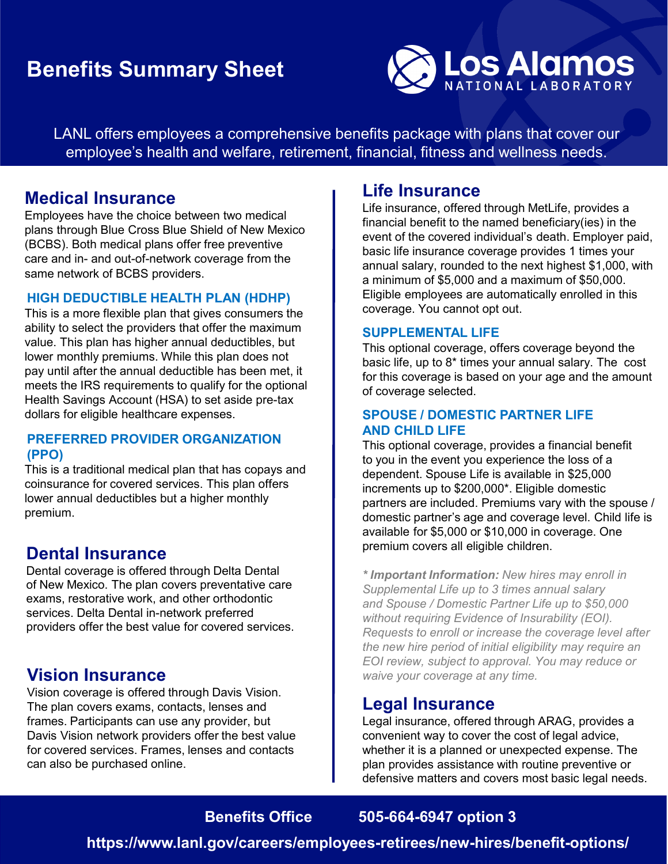## **Benefits Summary Sheet**



LANL offers employees a comprehensive benefits package with plans that cover our employee's health and welfare, retirement, financial, fitness and wellness needs.

## **Medical Insurance**

Employees have the choice between two medical plans through Blue Cross Blue Shield of New Mexico (BCBS). Both medical plans offer free preventive care and in- and out-of-network coverage from the same network of BCBS providers.

#### **HIGH DEDUCTIBLE HEALTH PLAN (HDHP)**

This is a more flexible plan that gives consumers the ability to select the providers that offer the maximum value. This plan has higher annual deductibles, but lower monthly premiums. While this plan does not pay until after the annual deductible has been met, it meets the IRS requirements to qualify for the optional Health Savings Account (HSA) to set aside pre-tax dollars for eligible healthcare expenses.

#### **PREFERRED PROVIDER ORGANIZATION (PPO)**

This is a traditional medical plan that has copays and coinsurance for covered services. This plan offers lower annual deductibles but a higher monthly premium.

## **Dental Insurance**

Dental coverage is offered through Delta Dental of New Mexico. The plan covers preventative care exams, restorative work, and other orthodontic services. Delta Dental in-network preferred providers offer the best value for covered services.

## **Vision Insurance**

Vision coverage is offered through Davis Vision. The plan covers exams, contacts, lenses and frames. Participants can use any provider, but Davis Vision network providers offer the best value for covered services. Frames, lenses and contacts can also be purchased online.

## **Life Insurance**

Life insurance, offered through MetLife, provides a financial benefit to the named beneficiary(ies) in the event of the covered individual's death. Employer paid, basic life insurance coverage provides 1 times your annual salary, rounded to the next highest \$1,000, with a minimum of \$5,000 and a maximum of \$50,000. Eligible employees are automatically enrolled in this coverage. You cannot opt out.

#### **SUPPLEMENTAL LIFE**

This optional coverage, offers coverage beyond the basic life, up to 8\* times your annual salary. The cost for this coverage is based on your age and the amount of coverage selected.

#### **SPOUSE / DOMESTIC PARTNER LIFE AND CHILD LIFE**

This optional coverage, provides a financial benefit to you in the event you experience the loss of a dependent. Spouse Life is available in \$25,000 increments up to \$200,000\*. Eligible domestic partners are included. Premiums vary with the spouse / domestic partner's age and coverage level. Child life is available for \$5,000 or \$10,000 in coverage. One premium covers all eligible children.

*\* Important Information: New hires may enroll in Supplemental Life up to 3 times annual salary and Spouse / Domestic Partner Life up to \$50,000 without requiring Evidence of Insurability (EOI). Requests to enroll or increase the coverage level after the new hire period of initial eligibility may require an EOI review, subject to approval. You may reduce or waive your coverage at any time.*

### **Legal Insurance**

Legal insurance, offered through ARAG, provides a convenient way to cover the cost of legal advice, whether it is a planned or unexpected expense. The plan provides assistance with routine preventive or defensive matters and covers most basic legal needs.

## **Benefits Office 505-664-6947 option 3**

**https://www.lanl.gov/careers/employees-retirees/new-hires/benefit-options/**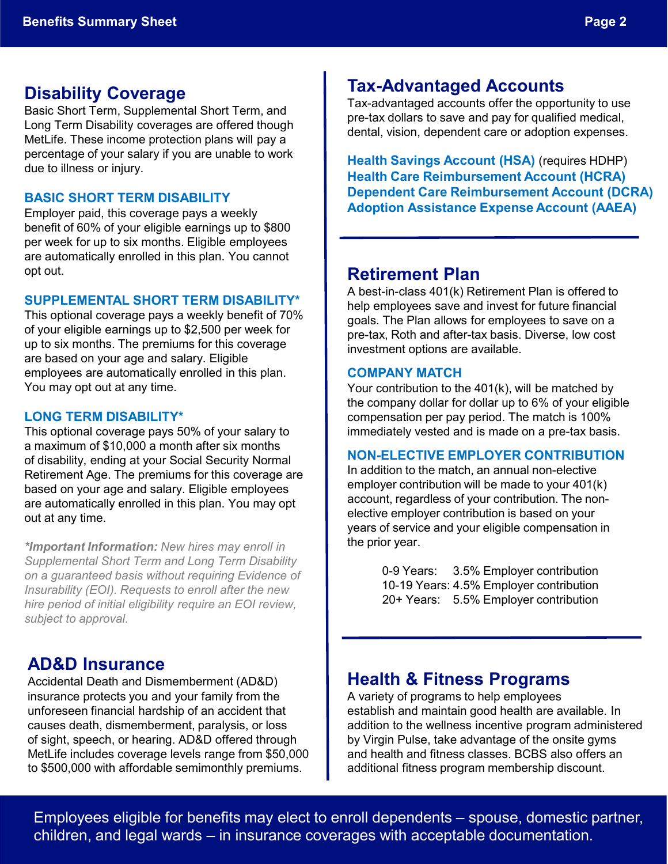## **Disability Coverage**

Basic Short Term, Supplemental Short Term, and Long Term Disability coverages are offered though MetLife. These income protection plans will pay a percentage of your salary if you are unable to work due to illness or injury.

#### **BASIC SHORT TERM DISABILITY**

Employer paid, this coverage pays a weekly benefit of 60% of your eligible earnings up to \$800 per week for up to six months. Eligible employees are automatically enrolled in this plan. You cannot opt out.

#### **SUPPLEMENTAL SHORT TERM DISABILITY\***

This optional coverage pays a weekly benefit of 70% of your eligible earnings up to \$2,500 per week for up to six months. The premiums for this coverage are based on your age and salary. Eligible employees are automatically enrolled in this plan. You may opt out at any time.

#### **LONG TERM DISABILITY\***

This optional coverage pays 50% of your salary to a maximum of \$10,000 a month after six months of disability, ending at your Social Security Normal Retirement Age. The premiums for this coverage are based on your age and salary. Eligible employees are automatically enrolled in this plan. You may opt out at any time.

*\*Important Information: New hires may enroll in Supplemental Short Term and Long Term Disability on a guaranteed basis without requiring Evidence of Insurability (EOI). Requests to enroll after the new hire period of initial eligibility require an EOI review, subject to approval.*

## **AD&D Insurance**

Accidental Death and Dismemberment (AD&D) insurance protects you and your family from the unforeseen financial hardship of an accident that causes death, dismemberment, paralysis, or loss of sight, speech, or hearing. AD&D offered through MetLife includes coverage levels range from \$50,000 to \$500,000 with affordable semimonthly premiums.

## **Tax-Advantaged Accounts**

Tax-advantaged accounts offer the opportunity to use pre-tax dollars to save and pay for qualified medical, dental, vision, dependent care or adoption expenses.

**Health Savings Account (HSA)** (requires HDHP) **Health Care Reimbursement Account (HCRA) Dependent Care Reimbursement Account (DCRA) Adoption Assistance Expense Account (AAEA)**

## **Retirement Plan**

A best-in-class 401(k) Retirement Plan is offered to help employees save and invest for future financial goals. The Plan allows for employees to save on a pre-tax, Roth and after-tax basis. Diverse, low cost investment options are available.

#### **COMPANY MATCH**

Your contribution to the 401(k), will be matched by the company dollar for dollar up to 6% of your eligible compensation per pay period. The match is 100% immediately vested and is made on a pre-tax basis.

#### **NON-ELECTIVE EMPLOYER CONTRIBUTION**

In addition to the match, an annual non-elective employer contribution will be made to your 401(k) account, regardless of your contribution. The nonelective employer contribution is based on your years of service and your eligible compensation in the prior year.

> 0-9 Years: 3.5% Employer contribution 10-19 Years: 4.5% Employer contribution 20+ Years: 5.5% Employer contribution

## **Health & Fitness Programs**

A variety of programs to help employees establish and maintain good health are available. In addition to the wellness incentive program administered by Virgin Pulse, take advantage of the onsite gyms and health and fitness classes. BCBS also offers an additional fitness program membership discount.

Employees eligible for benefits may elect to enroll dependents – spouse, domestic partner, children, and legal wards – in insurance coverages with acceptable documentation.